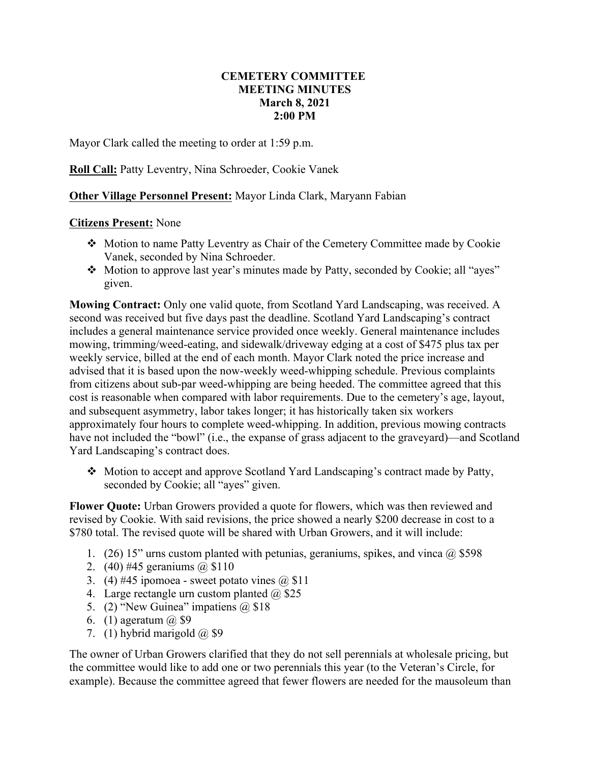## **CEMETERY COMMITTEE MEETING MINUTES March 8, 2021 2:00 PM**

Mayor Clark called the meeting to order at 1:59 p.m.

**Roll Call:** Patty Leventry, Nina Schroeder, Cookie Vanek

**Other Village Personnel Present:** Mayor Linda Clark, Maryann Fabian

## **Citizens Present:** None

- Motion to name Patty Leventry as Chair of the Cemetery Committee made by Cookie Vanek, seconded by Nina Schroeder.
- Motion to approve last year's minutes made by Patty, seconded by Cookie; all "ayes" given.

**Mowing Contract:** Only one valid quote, from Scotland Yard Landscaping, was received. A second was received but five days past the deadline. Scotland Yard Landscaping's contract includes a general maintenance service provided once weekly. General maintenance includes mowing, trimming/weed-eating, and sidewalk/driveway edging at a cost of \$475 plus tax per weekly service, billed at the end of each month. Mayor Clark noted the price increase and advised that it is based upon the now-weekly weed-whipping schedule. Previous complaints from citizens about sub-par weed-whipping are being heeded. The committee agreed that this cost is reasonable when compared with labor requirements. Due to the cemetery's age, layout, and subsequent asymmetry, labor takes longer; it has historically taken six workers approximately four hours to complete weed-whipping. In addition, previous mowing contracts have not included the "bowl" (i.e., the expanse of grass adjacent to the graveyard)—and Scotland Yard Landscaping's contract does.

 Motion to accept and approve Scotland Yard Landscaping's contract made by Patty, seconded by Cookie; all "ayes" given.

**Flower Quote:** Urban Growers provided a quote for flowers, which was then reviewed and revised by Cookie. With said revisions, the price showed a nearly \$200 decrease in cost to a \$780 total. The revised quote will be shared with Urban Growers, and it will include:

- 1. (26) 15" urns custom planted with petunias, geraniums, spikes, and vinca  $\omega$  \$598
- 2. (40) #45 geraniums @ \$110
- 3. (4) #45 ipomoea sweet potato vines  $(a)$  \$11
- 4. Large rectangle urn custom planted  $\omega$  \$25
- 5. (2) "New Guinea" impatiens  $\omega$  \$18
- 6. (1) ageratum  $(a)$  \$9
- 7. (1) hybrid marigold  $(a)$  \$9

The owner of Urban Growers clarified that they do not sell perennials at wholesale pricing, but the committee would like to add one or two perennials this year (to the Veteran's Circle, for example). Because the committee agreed that fewer flowers are needed for the mausoleum than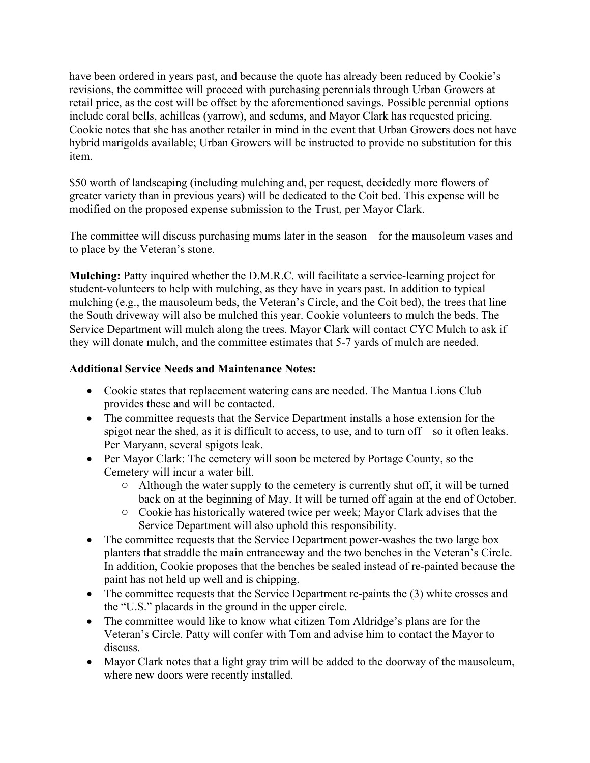have been ordered in years past, and because the quote has already been reduced by Cookie's revisions, the committee will proceed with purchasing perennials through Urban Growers at retail price, as the cost will be offset by the aforementioned savings. Possible perennial options include coral bells, achilleas (yarrow), and sedums, and Mayor Clark has requested pricing. Cookie notes that she has another retailer in mind in the event that Urban Growers does not have hybrid marigolds available; Urban Growers will be instructed to provide no substitution for this item.

\$50 worth of landscaping (including mulching and, per request, decidedly more flowers of greater variety than in previous years) will be dedicated to the Coit bed. This expense will be modified on the proposed expense submission to the Trust, per Mayor Clark.

The committee will discuss purchasing mums later in the season—for the mausoleum vases and to place by the Veteran's stone.

**Mulching:** Patty inquired whether the D.M.R.C. will facilitate a service-learning project for student-volunteers to help with mulching, as they have in years past. In addition to typical mulching (e.g., the mausoleum beds, the Veteran's Circle, and the Coit bed), the trees that line the South driveway will also be mulched this year. Cookie volunteers to mulch the beds. The Service Department will mulch along the trees. Mayor Clark will contact CYC Mulch to ask if they will donate mulch, and the committee estimates that 5-7 yards of mulch are needed.

## **Additional Service Needs and Maintenance Notes:**

- Cookie states that replacement watering cans are needed. The Mantua Lions Club provides these and will be contacted.
- The committee requests that the Service Department installs a hose extension for the spigot near the shed, as it is difficult to access, to use, and to turn off—so it often leaks. Per Maryann, several spigots leak.
- Per Mayor Clark: The cemetery will soon be metered by Portage County, so the Cemetery will incur a water bill.
	- o Although the water supply to the cemetery is currently shut off, it will be turned back on at the beginning of May. It will be turned off again at the end of October.
	- o Cookie has historically watered twice per week; Mayor Clark advises that the Service Department will also uphold this responsibility.
- The committee requests that the Service Department power-washes the two large box planters that straddle the main entranceway and the two benches in the Veteran's Circle. In addition, Cookie proposes that the benches be sealed instead of re-painted because the paint has not held up well and is chipping.
- The committee requests that the Service Department re-paints the (3) white crosses and the "U.S." placards in the ground in the upper circle.
- The committee would like to know what citizen Tom Aldridge's plans are for the Veteran's Circle. Patty will confer with Tom and advise him to contact the Mayor to discuss.
- Mayor Clark notes that a light gray trim will be added to the doorway of the mausoleum, where new doors were recently installed.